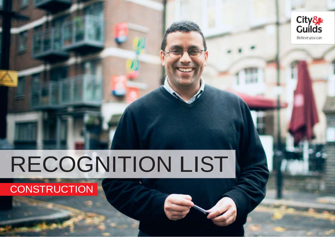

# RECOGNITION LIST

## **CONSTRUCTION**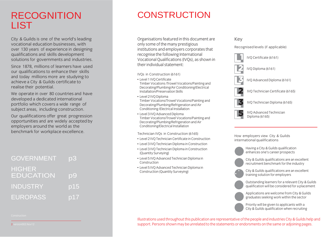## RECOGNITION LIST

City & Guilds is one of the world's leading<br>vocational education businesses, with over 130 years of experience in designing qualifications and skills development solutions for governments and industries.

Since 1878, millions of learners have used our qualifications to enhance their skills and today millions more are studying to achieve a City & Guilds certificate to realise their potential.

We operate in over 80 countries and have developed a dedicated international portfolio which covers a wide range of subject areas, including construction.

Our qualifications offer great progression. opportunities and are widely accepted by employers around the world as the benchmark for workplace excellence. benchmark for workplace excellence.

| <b>GOVERNMENT</b>          | p3                       |
|----------------------------|--------------------------|
| <b>HIGHER</b><br>EDUCATION | $\overline{\mathsf{D}}9$ |
| <b>INDUSTRY</b>            | p15                      |
| <b>EUROPASS</b>            | p17                      |

## **CONSTRUCTION**

Organisations featured in this document are<br>only some of the many prestigious institutions and employers corporates that recognise the following International Vocational Qualifications (IVOs), as shown in their individual statement: theirindividual statement:

IVOs in Construction (6161)

- Level 1 IVO Certificate Timber Vocations /Trowel Vocations/Painting and Decorating/Plumbing/Air Conditioning/Electrical Installation/Preservation Skills
- Level 2 IVO Diploma Timber Vocations/Trowel Vocations/Painting and Decorating/Plumbing/Refrigeration and Air Conditioning /Electrical Installation
- Level 3 IVQ Advanced Diploma Timber Vocations/Trowel Vocations/Painting and Decorating/Plumbing/Refrigeration and Air Conditioning/Electrical Installation Conditioning/Electrical Installation

- Technician IVQs in Construction (6165)<br>• Level 2 IVQ Technician Certificate in Construction
- Level 3 IVQ Technician Diploma in Construction
- Level 3 IVQ Technician Diploma in Construction (Quantity Surveying)
- Level 5 IVQ Advanced Technician Diploma in **Construction**
- Level 5 IVO Advanced Technician Diploma in Construction (Quantity Surveying)  $C_1$  ( $\sim$   $\sim$   $\sim$   $\sim$   $\sim$   $\sim$   $\sim$   $\sim$

## Key<br>Recognised levels (if applicable)



ment employers non-employers semple international qualifications



City & Guilds qualifications are an excellent<br>recruitment benchmark for the industry recruitment benchmark forthe industry





training solution for employers Outstanding learners for a relevant City & Guilds

qualification will be considered for a placement Applications are welcome from City & Guilds<br>graduates seeking work within the sector

 $\frac{1}{2}$ Priority will be given to applicants with a<br>City & Guilds qualification when recruiting City & Guilds qualification when recruiting

Illustrations used throughout this publication are representative of the people and industries City & Guilds help and<br>support. Persons shown may be unrelated to the statements or endorsments on the same or adioining pages. support. Persons shown may be unrelated to the statements or endorsments on the same or adjoining pages.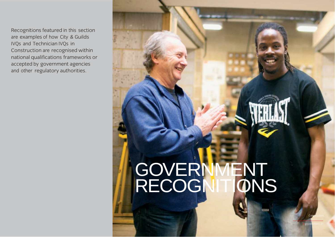Recognitions featured in this section<br>are examples of how City & Guilds IVQs and Technician IVQs in Construction are recognised within national qualifications frameworks or accepted by government agencies and other regulatory authorities and other regulatory authorities.

# **GOVERNMENT** RECOGNITIONS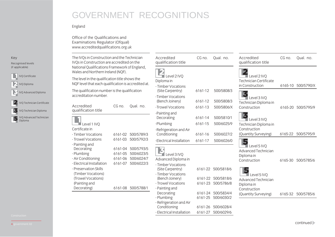#### England

Office of the Qualifications and<br>Examinations Regulator (Ofqual)  $W$ www accreditedoualifications orgulator  $\alpha$ where  $\mathbb{Z}_p$  is the contractions.

| Key<br>Recognised levels                          | The IVQs in Construction and the Technician<br>IVQs in Construction are accredited on the                                                                                                                                                                                                                           | Accredited<br>qualification title                                                                                                                                                         | CG no.                                                                                                                                                                                                                                                          | Qual. no.                                       | Accredited<br>qualification title                        | CG no.                                   | Qual. no.          |
|---------------------------------------------------|---------------------------------------------------------------------------------------------------------------------------------------------------------------------------------------------------------------------------------------------------------------------------------------------------------------------|-------------------------------------------------------------------------------------------------------------------------------------------------------------------------------------------|-----------------------------------------------------------------------------------------------------------------------------------------------------------------------------------------------------------------------------------------------------------------|-------------------------------------------------|----------------------------------------------------------|------------------------------------------|--------------------|
| (if applicable)                                   | National Qualifications Framework of England,<br>Wales and Northern Ireland (NQF).                                                                                                                                                                                                                                  |                                                                                                                                                                                           |                                                                                                                                                                                                                                                                 |                                                 |                                                          |                                          |                    |
| <b>IVO Certificate</b><br>VQ Diploma              | The level in the qualification title shows the<br>NQF level that each qualification is accredited at.                                                                                                                                                                                                               | Level 2 IVQ<br>Diploma in<br>- Timber Vocations                                                                                                                                           |                                                                                                                                                                                                                                                                 |                                                 | Level 2 IVQ<br>Technician Certificate<br>in Construction |                                          | 6165-10 500/5790/X |
| IVQ Advanced Diploma                              | The qualification number is the qualification<br>accreditation number.                                                                                                                                                                                                                                              | (Site Carpentry)<br>-Timber Vocations                                                                                                                                                     | 6161-12                                                                                                                                                                                                                                                         | 500/5808/3                                      | 3                                                        |                                          |                    |
| IVO Technician Certificate                        | Accredited<br>CG no.<br>Qual. no.                                                                                                                                                                                                                                                                                   | (Bench Joinery)<br>-Trowel Vocations                                                                                                                                                      | 6161-12<br>6161-13                                                                                                                                                                                                                                              | 500/5808/3<br>500/5806/X                        | Level 3 IVQ<br>Technician Diploma in<br>Construction     |                                          | 6165-20 500/5795/9 |
| IVQ Technician Diploma<br>IVQ Advanced Technician | qualification title                                                                                                                                                                                                                                                                                                 | -Painting and<br>Decorating                                                                                                                                                               | 6161-14                                                                                                                                                                                                                                                         | 500/5810/1                                      | 3<br>$\blacksquare$ Level 3 IVO                          |                                          |                    |
| Diploma                                           | Level 1 IVQ<br>Certificate in                                                                                                                                                                                                                                                                                       | -Plumbing                                                                                                                                                                                 | 6161-15                                                                                                                                                                                                                                                         | 500/6025/9                                      | Technician Diploma in<br>Construction                    |                                          |                    |
|                                                   | 6161-02 500/5789/3<br>- Timber Vocations<br>- Trowel Vocations<br>6161-03 500/5792/3                                                                                                                                                                                                                                | -Refrigeration and Air<br>Conditioning<br>-Electrical Installation                                                                                                                        | 6161-16<br>6161-17                                                                                                                                                                                                                                              | 500/6027/2<br>500/6026/0                        | (Quantity Surveying)                                     |                                          | 6165-22 500/5795/9 |
|                                                   | - Painting and<br>6161-04 500/5793/5<br>Decorating<br>6161-05 500/6023/5<br>- Plumbing<br>6161-06 500/6024/7<br>- Air Conditioning<br>6161-07<br>500/6022/3<br>- Electrical Installation<br>- Preservation Skills<br>(Timber Vocations)<br>(Trowel Vocations)<br>(Painting and<br>6161-08 500/5788/1<br>Decorating) | Level 3 IVQ<br>Advanced Diploma in<br>- Timber Vocations<br>(Site Carpentry)<br>- Timber Vocations<br>(Bench Joinery)<br>- Trowel Vocations<br>- Painting and<br>Decorating<br>- Plumbing | $\blacksquare$ Level 5 IVO<br>Diploma in<br>Construction<br>6161-22 500/5818/6<br>5<br>$\blacksquare$ Level 5 IVO<br>6161-22 500/5818/6<br>6161-23 500/5786/8<br>Diploma in<br>Construction<br>6161-24 500/5834/4<br>(Quantity Surveying)<br>6161-25 500/6030/2 | 5<br>Advanced Technician<br>Advanced Technician |                                                          | 6165-30 500/5785/6<br>6165-32 500/5785/6 |                    |
|                                                   |                                                                                                                                                                                                                                                                                                                     | - Refrigeration and Air<br>Conditioning<br>- Electrical Installation                                                                                                                      |                                                                                                                                                                                                                                                                 | 6161-26 500/6028/4<br>6161-27 500/6029/6        |                                                          |                                          |                    |

- Electrical Installation 6161-27 500/6029/6

Key<br>Recognis recomment in the level of the level of the level of the level of the level of the level of the level of the level of the level of the level of the level of the level of the level of the level of the level of the level of t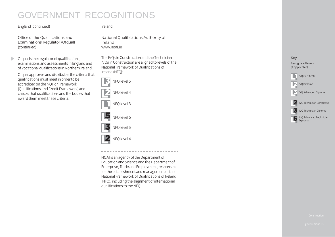#### $\mathcal{C}$  is the continuum independent of  $\mathcal{C}$

 $\blacktriangleright$ 

Ireland

Office of the Qualifications and<br>Examinations Regulator (Ofqual) (continued)  $(1 - 1)$ 

National Qualifications Authority of<br>Ireland www.ngai.ie www.napin.ie

Ofqual is the regulator of qualifications,<br>examinations and assessments in England and of vocational qualifications in Northern Ireland.

Of qual approves and distributes the criteria that qualifications must meet in order to be accredited on the NOF or Framework (Qualifications and Credit Framework) and checks that qualifications and the bodies that award them meet these criteria.

The IVQs in Construction and the Technician<br>IVOs in Construction are aligned to levels of the National Framework of Qualifications of Ireland (NFO):



NQAI is an agency of the Department of<br>Education and Science and the Department of Enterprise, Trade and Employment, responsible for the establishment and management of the National Framework of Oualifications of Ireland  $(NFQ)$ , including the alignment of international  $\alpha$  is alignment of the MEO  $q<sub>1</sub>$ 

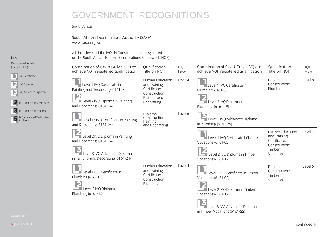$S^2$  and  $S^2$  and  $S^2$  and  $S^2$  and  $S^2$  and  $S^2$  and  $S^2$  and  $S^2$  and  $S^2$  and  $S^2$  and  $S^2$  and  $S^2$  and  $S^2$  and  $S^2$  and  $S^2$  and  $S^2$  and  $S^2$  and  $S^2$  and  $S^2$  and  $S^2$  and  $S^2$  and  $S^2$  and www.saqa.org.za

Key<br>Recognised levels recognised is can  $\sum_{i=1}^{n}$ 

IVQ Certificate IVQ Diploma IVQ Advanced Diploma **2** IVQ Technician Certificate IVQ Technician Diploma Diploma

| Combination of City & Guilds IVQs to<br>achieve NQF registered qualification                                                        | Qualification<br>Title on NQF                                                                           | <b>NQF</b><br>Level | Combination of City & Guilds IVQs to<br>achieve NQF registered qualification                                     | Qualification<br>Title on NQF                                                             | <b>NQF</b><br>Level |
|-------------------------------------------------------------------------------------------------------------------------------------|---------------------------------------------------------------------------------------------------------|---------------------|------------------------------------------------------------------------------------------------------------------|-------------------------------------------------------------------------------------------|---------------------|
| Level 1 IVO Certificate in<br>Painting and Decorating (6161-04)<br>Level 2 IVQ Diploma in Painting<br>and Decorating (6161-14)      | <b>Further Education</b><br>and Training<br>Certificate:<br>Construction:<br>Painting and<br>Decorating | Level 4             | Level 1 IVQ Certificate in<br>Plumbing (6161-05)<br>Level 2 IVQ Diploma in<br>Plumbing (6161-15)                 | Diploma:<br>Construction:<br>Plumbing                                                     | Level 6             |
| Level 1* IVQ Certificate in Painting<br>and Decorating (6161-04)                                                                    | Diploma:<br>Construction:<br>Painting<br>and Decorating                                                 | Level 6             | Level 3 IVQ Advanced Diploma<br>in Plumbing (6161-25)                                                            |                                                                                           |                     |
| Level 2 IVQ Diploma in Painting<br>and Decorating (6161-14)<br>Level 3 IVQ Advanced Diploma<br>in Painting and Decorating (6161-24) |                                                                                                         |                     | Level 1 IVQ Certificate in Timber<br>Vocations (6161-02)<br>Level 2 IVQ Diploma in Timber<br>Vocations (6161-12) | Further Education<br>and Training<br>Certificate:<br>Construction:<br>Timber<br>Vocations | Level 4             |
| Level 1 IVQ Certificate in<br>Plumbing (6161-05)<br>Level 2 IVQ Diploma in<br>Plumbing (6161-15)                                    | <b>Further Education</b><br>and Training<br>Certificate:<br>Construction:<br>Plumbing                   | Level 4             | Level 1 IVQ Certificate in Timber<br>Vocations (6161-02)<br>Level 2 IVQ Diploma in Timber<br>Vocations (6161-12) | Diploma:<br>Construction:<br>Timber<br>Vocations                                          | Level 6             |

Level 2 IV Commercial Speaker<br>Der Vocations (6161-22)

 $\frac{1}{2}$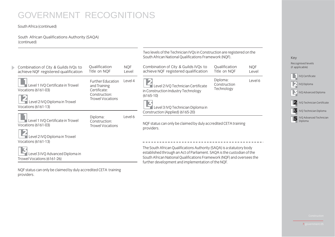#### SouthAfrica (continued)

South African Qualifications Authority (SAQA)

|                                                                                                                    |                                                                                        |                     | Two levels of the Technician IVQs in Construction are registered on the<br>South African National Qualifications Framework (NQF).                                                                                                                                               |                                        |                                                                   | Key                                                                                  |
|--------------------------------------------------------------------------------------------------------------------|----------------------------------------------------------------------------------------|---------------------|---------------------------------------------------------------------------------------------------------------------------------------------------------------------------------------------------------------------------------------------------------------------------------|----------------------------------------|-------------------------------------------------------------------|--------------------------------------------------------------------------------------|
| Combination of City & Guilds IVQs to<br>achieve NQF registered qualification                                       | Qualification<br>Title on NQF                                                          | <b>NQF</b><br>Level | Combination of City & Guilds IVQs to<br>achieve NQF registered qualification                                                                                                                                                                                                    | Qualification<br>Title on NQF          | <b>NQF</b><br>Level                                               | Recognised levels<br>(if applicable)                                                 |
| Level 1 IVQ Certificate in Trowel<br>Vocations (6161-03)<br>Level 2 IVQ Diploma in Trowel<br>Vocations $(6161-13)$ | Further Education<br>and Training<br>Certificate:<br>Construction:<br>Trowel Vocations | Level 4             | Level 2 IVQ Technician Certificate<br>in Construction Industry Technology<br>$(6165-10)$<br>Level 3 IVQ Technician Diploma in                                                                                                                                                   | Diploma:<br>Construction<br>Technology | Level 6                                                           | IVQ Certificate<br>IVQ Diploma<br>IVQ Advanced Diploma<br>IVQ Technician Certificate |
| Level 1 IVQ Certificate in Trowel<br>Vocations (6161-03)<br>Level 2 IVQ Diploma in Trowel<br>Vocations $(6161-13)$ | Diploma:<br>Construction:<br>Trowel Vocations                                          | Level 6             | Construction (Applied) (6165-20)<br>NQF status can only be claimed by duly accredited CETA training<br>providers.                                                                                                                                                               |                                        | 5<br>IVQ Technician Diploma<br>IVQ Advanced Technician<br>Diploma |                                                                                      |
| Level 3 IVQ Advanced Diploma in<br>Trowel Vocations (6161-26)                                                      |                                                                                        |                     | The South African Qualifications Authority (SAQA) is a statutory body<br>established through an Act of Parliament. SAQA is the custodian of the<br>South African National Qualifications Framework (NQF) and oversees the<br>further development and implementation of the NQF. |                                        |                                                                   |                                                                                      |

NQF status can only be claimed by duly accredited CETA training providers.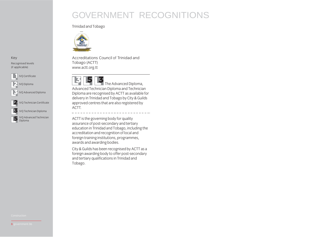#### Trinidad and Tobago



Key<br>Recognised levels recomment in the level of the level of the level of the level of the level of the level of the level of the level of the level of the level of the level of the level of the level of the level of the level of the level of t



Accreditations Council of Trinidad and www.actt.org.tt



www.actions.org

The Advanced Diploma,<br>Advanced Technician Diploma and Technician Diploma are recognised by ACTT as available for delivery in Trinidad and Tobago by City & Guilds delivery in trinidad and tobago by City of Sandis<br>annroved centres that are also registered by approved centres that are also registered by ACTT.

ACTT is the governing body for quality<br>assurance of post-secondary and tertiary education in Trinidad and Tobago, including the accreditation and recognition of local and foreign training institutions, programmes, awards and awarding bodies.

City & Guilds has been recognised by ACTT as a foreign awarding body to offer post-secondary and tertiary qualifications in Trinidad and Tobago. Tobago.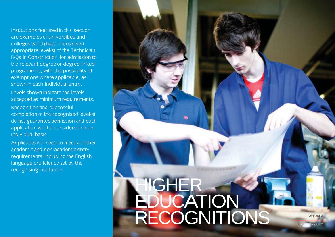Institutions featured in this section are examples of universities and colleges which have recognised appropriate level(s) of the Technician IVOs in Construction for admission to the relevant degree or degree-linked programmes, with the possibility of exemptions where applicable, as shown in each individual entry.

Levels shown indicate the levels accepted as minimum requirements.

Recognition and successful completion of the recognised level(s) do not guarantee admission and each application will be considered on an individual basis

Applicants will need to meet all other academic and non-academic entry requirements, including the English language proficiency set by the recognising institution. recognising institution.

# RECOGNITIONS HIGHER EDUCATION

**Construction** 

9.higher education.01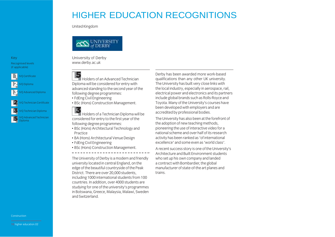United Kingdom



[University](http://www.derby.ac.uk/) of Derby<br>www.derby.ac.uk where  $\frac{1}{2}$  is the contract of  $\frac{1}{2}$ 



Holders of an Advanced Technician<br>Diploma will be considered for entry with advanced standing to the second year of the following degree programmes:

- FdEng Civil Engineering
- BSc (Hons) Construction Management. • BSc (Hons) Construction Management.



IVQ Technician Diploma IVQ Advanced Technician<br>Diploma

Holders of a Technician Diploma will be<br>considered for entry to the first year of the following degree programmes:

- BSc (Hons) Architectural Technology and **Practice**
- BA (Hons) Architectural Venue Design
- FdEng Civil Engineering
- BSc (Hons) Construction Management. • BSc (Hons) Construction Management.

The University of Derby is a modern and friendly<br>university located in central England, on the edge of the beautiful countryside of the Peak District. There are over 20,000 students. including 1000 international students from 100 countries. In addition, over 4000 students are studying for one of the university's programmes in Botswana, Greece, Malaysia, Malawi, Sweden and Switzerland

Derby has been awarded more work-based qualifications than any other UK university. The University has built very close links with the local industry, especially in aerospace, rail, electrical power and electronics and its partners include global brands such as Rolls-Royce and Toyota. Many of the University's courses have been developed with employers and are accredited by professional bodies.

The University has also been at the forefront of the adoption of new teaching methods, pioneering the use of interactive video for a national scheme and over half of its research activity has been ranked as 'of international<br>excellence' and some even as 'world class'

excellence' and some even as 'world class'. Architecture and Built Environment students who set up his own company and landed a contract with Bombardier, the global manufacturer of state-of-the art planes and trains. trains.

Construction

Key<br>Recognised levels  $\lim_{t \to \infty} \frac{1}{t}$  $($ if applications)

**VO** Certificate

IVQ Diploma

Diploma

IVQ Advanced Diploma

IVQ Technician Certificate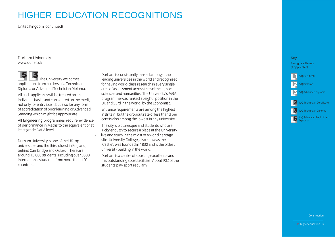$U_{\text{max}}$ 

[Durham](http://www.dur.ac.uk/) University<br>www.dur.ac.uk

The University welcomes<br>applications from holders of a Technician Diploma or Advanced Technician Diploma.

All such applicants will be treated on an individual basis, and considered on the merit. not only for entry itself, but also for any form of accreditation of prior learning or Advanced Standing which might be appropriate.

All Engineering programmes require evidence of performance in Maths to the equivalent of at least grade B at A level. least grade B atAlevel.

Durham University is one of the UK top<br>universities and the third oldest in England. behind Cambridge and Oxford. There are around 15,000 students, including over 3000 international students from more than 120 countries.

Durham is consistently ranked amongst the<br>leading universities in the world and recognised for having world-class research in every single area of assessment across the sciences, social sciences and humanities. The University's MBA programme was ranked at eighth position in the UK and 53rd in the world, by the Economist.

Entrance requirements are among the highest in Britain, but the dropout rate of less than 3 per cent is also among the lowest in any university.

The city is picturesque and students who are lucky enough to secure a place at the University live and study in the midst of a world heritage site. University College, also know as the 'Castle', was founded in 1832 and is the oldest university building in the world.

Durham is a centre of sporting excellence and has outstanding sport facilities. About 90% of the students play sport regularly. students play sportregularly.

#### Key<br>Recognised levels  $\limsup_{n\to\infty}$  $\sum_{i=1}^{n}$

IVQ Certificate

IVQ Diploma

IVQ Advanced Diploma

#### IVQ Technician Certificate IVQ Technician Diploma

IVQ Advanced Technician<br>Dinloma

Diploma

Construction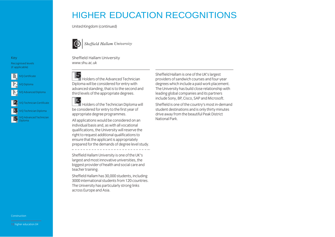$U_{\text{max}}$ 



Sheffield Hallam University

#### Key<br>Recognised levels recognised to the

 $($ if applications) IVQ Certificate IVQ Diploma

Q Advanced Diploma

VQ Technician Certificate IVQ Technician Diploma IVQ Advanced Technician<br>Diploma

Diploma

[Sheffield](http://www.shu.ac.uk/) Hallam University<br>www.shu.ac.uk

Holders of the Advanced Technician Diploma will be considered for entry with advanced standing, that is to the second and third levels of the appropriate degrees. third levels ofthe appropriate degrees.



Holders of the Technician Diploma will<br>be considered for entry to the first year of appropriate degree programmes.

All applications would be considered on an individual basis and, as with all vocational qualifications, the University will reserve the right to request additional qualifications to ensure that the applicant is appropriately prepared for the demands of degree level study. prepared forthe demands of degree level study.

Sheffield Hallam University is one of the UK's<br>largest and most innovative universities, the biggest provider of health and social care and teacher training.

Sheffield Hallam has 30,000 students, including 3000 international students from 120 countries. The University has particularly strong links across Europe and Asia. across Europe andAsia.

Sheffield Hallam is one of the UK's largest<br>providers of sandwich courses and four-year degrees which include a paid work placement. The University has build close relationship with leading global companies and its partners include Sony, BP, Cisco, SAP and Microsoft.

Sheffield is one of the country's most in-demand student destinations and is only thirty minutes drive away from the beautiful Peak District National Park

Construction

12.higher education.04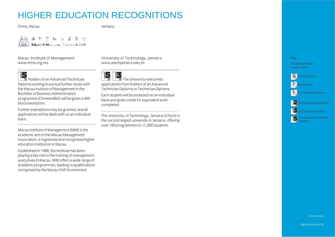China, Macau Jamaica

Jamaica



[Macau Institute](http://www.mma.org.mo/) of Management<br>www.mma.org.mo www.mma.org.mo



Holders of an Advanced Technician<br>Diploma wishing to pursue further study with the Macau Institute of Management in the Bachelor of Business Administration programme (Chinese BBA) will be given a 40% block exemption.

Further exemptions may be granted, and all  $F(x) = \frac{1}{2} \int_{0}^{2\pi} \cos \theta \, d\theta$ applications will be dealt with on an individual basis.

Macau Institute of Management (MIM) is the academic arm of the Macau Management Association, a registered and recognised higher education institution in Macau.

Established in 1988, the Institute has been playing a key role in the training of management executives in Macau. MIM offers a wide range of academic programmes. leading to qualifications recognised by the Macau SAR Government. recognised by the Macau SARGovernment.

University of [Technology,](http://www.utechjamaica.edu.jm/) Jamaica ww.j



The University welcomes<br>applications from holders of an Advanced Technician Diploma or Technician Diploma.

Fach student will be assessed on an individual basis and given credit for equivalent work completed. completed.<br>Completed.

The University of Technology, Jamaica (UTech) is<br>the second largest university in Jamaica, offering over 100 programmes to 11,000 students. over 100 programmes to 11,000 students.



 $\mathcal{N}$  applies by a positive  $\mathcal{N}$ **VQ** Certificate

IVQ Diploma

VQ Advanced Diploma

#### IVQ Technician Certificate IVQ Technician Diploma

IVQ Advanced Technician

Diploma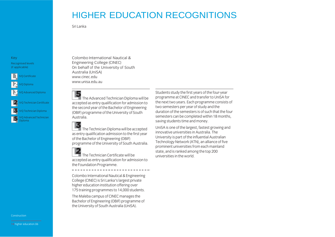Sri Lanka

#### Key<br>Recognised levels  $\lim_{t \to \infty} \frac{1}{t}$  $($ if applications)

IVQ Certificate IVQ Diploma Q Advanced Diploma IVQ Technician Certificate IVQ Technician Diploma

IVQ Advanced Technician<br>Diploma Diploma

Colombo International Nautical &<br>Engineering College (CINEC) On behalf of the University of South Australia (UniSA) www.cinec.edu www.unisa.edu.au



 $\Box$  The Advanced Technician Diploma will be accepted as entry qualification for admission to the second year of the Bachelor of Engineering (OBIF) programme of the University of South Australia. Australia.

 $\Box$  The Technician Diploma will be accepted<br>as entry qualification admission to the first year of the Bachelor of Engineering (OBIF) ofthe Bachelor of the Bachelor of South programme oftheUniversity of SouthAustralia.

The Technician Certificate will be<br>accepted as entry qualification for admission to the Foundation Programme. the Foundation Programme.

College (CINEC) is Sri Lanka's largest private<br>higher education institution offering over higher education institution offering over<br>175 training programmes to 14,000 students.

The Maleba campus of CINEC manages the Bachelor of Engineering (OBIF) programme of the University of South Australia (UniSA). theUniversity of SouthAustralia (UniSA).

Students study the first years of the four-year<br>programme at CINEC and transfer to UniSA for the next two years. Each programme consists of two semesters per year of study and the duration of the semesters is of such that the four semesters can be completed within 18 months. saving students time and money.

UniSA is one of the largest, fastest growing and innovative universities in Australia, The University is part of the influential Australian Technology Network (ATN), an alliance of five prominent universities from each mainland state, and is ranked among the top 200 universities in the world.

Construction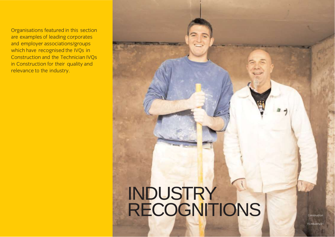Organisations featured in this section<br>are examples of leading corporates and employer associations/groups which have recognised the IVQs in Construction and the Technician IVQs in Construction for their quality and in Construction from quality and relevance to the industry.

## **INDUSTRY** RECOGNITIONS RECOGNITIONS

15.industry.01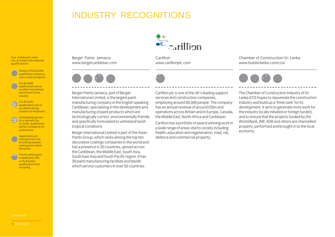#### INDUSTRY RECOGNITIONS

**Exercillion** 

[Carillion](http://www.carillionplc.com/)<br>www.carillionplc.com www.carillionplace.com



Berger Paints Jamaica, part of Berger manufacturing company in the English speaking Caribbean, specialising in the development and manufacturing of paint products which are technologically correct, environmentally friendly and specifically formulated to withstand harsh tropical conditions.

[Berger Paints Jamaica](http://www.bergercaribbean.com/)<br>www.bergercaribbean.com www.bergercaribbean.com

Berger International Limited is part of the Asian Paints Group, which ranks among the top ten decorative coatings companies in the world and has a presence in 20 countries, spread across the Caribbean, the Middle East, South Asia, South East Asia and South Pacific region. It has 30 paint manufacturing facilities worldwide which service customers in over 50 countries.

Carillion plc is one of the UK's leading support<br>services and construction companies. emploving around 50,000 people. The company has an annual revenue of around £5bn and operations across Britain and in Europe, Canada. the Middle Fast, North Africa and Caribbean.

Carillion has a portfolio of award-winning work in a wide range of areas vital to society including health, education and regeneration, road, rail, defence and commercial property. defence and commercial property.

Chamber of Construction Sri Lanka www.buildsrilanka.com/ccisl



The Chamber of Construction Industry of Sri Lanka (CCI) hopes to reiuvenate the construction industry and build up a 'think-tank' for its development. It aims to generate more work for the industry locally initiated or foreign funded. and to ensure that the projects funded by the World Bank, IME, ADB and others are channelled properly, performed and brought in to the local economy. economy.

How employers view<br>City & Guilds international

Having a City & Guilds one's career prospects one's career prospects City & Guilds<br>qualifications are an excellent recruitment benchmark for the industry<br>
industry City & Guilds<br>qualifications are an excellent training solution for employers Outstanding learners<br>for a relevant City & Guilds qualification will be considered for a placement Applications are<br>welcome from City & Guilds graduates seeking work within the sector

Priority will be given<br>to applicants with a City & Guilds qualification when qualification when recruiting

qualifications quality of the control of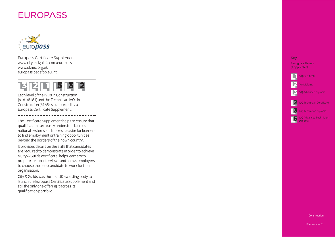#### **EUROPASS**



em op nee der intente depptemente<br>www.citvandøuilds.com/euronass www.ukbec.org.uk www.corg.uk<br>Auronass cadafon europass.cedefop.eu.int



Ensimilation and the Technician IVOs i Construction (6165) is supported by a construction (6166) is supported to  $\overline{a}$ Europas s comments copperantely

o commence supprementing parameters when the quality and the case of the construction of the process and makes it easier for lea national systems and national systems for relativists.<br>to find employment or training opportunities to minimipie, morte channing opportunities beyon and the border of the border of the second property.

are required to demonstrate in order to achieve a City & Guilds certificate helps learners to n en are for inhi interviews and allows emplo prepare the hest candidate to work for their organisation

o rganisation. our, an omne med most of them in smile over, as<br>launch the Furonass Certificate Sunnlement an s Central Union of the Central Processity<br>et al. Annual Supplement of the Supplement of the Central Supplement of the Central Supplement of the Central S oualification portfolio  $\mathbf{s}$  is according to  $\mathbf{s}$ qualificatio n po rtfolio.

## Key<br>Recognised levels

IVQ Advanced Diploma

IVQ Advanced Technician<br>Diploma

Construction

17.europass.01